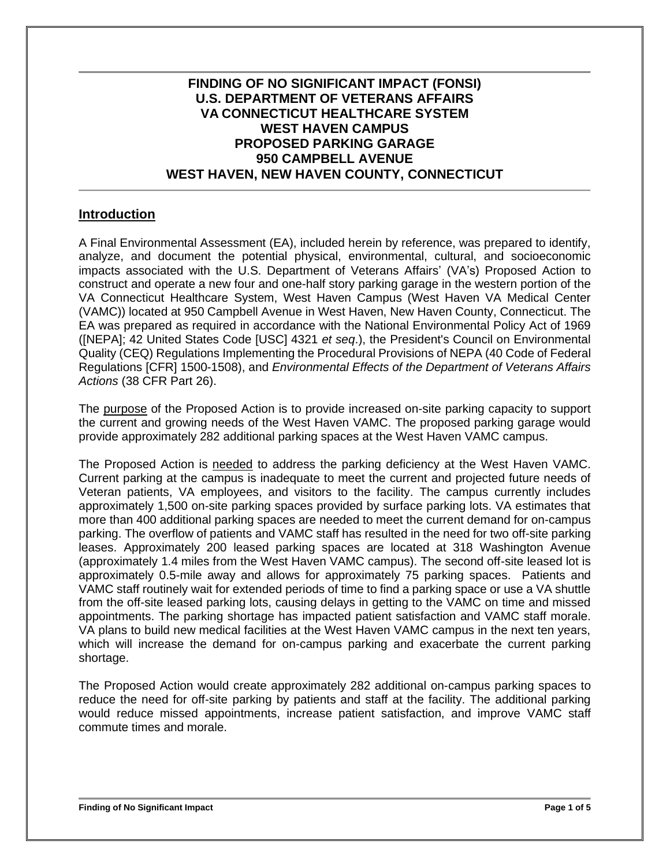# **FINDING OF NO SIGNIFICANT IMPACT (FONSI) U.S. DEPARTMENT OF VETERANS AFFAIRS VA CONNECTICUT HEALTHCARE SYSTEM WEST HAVEN CAMPUS PROPOSED PARKING GARAGE 950 CAMPBELL AVENUE WEST HAVEN, NEW HAVEN COUNTY, CONNECTICUT**

## **Introduction**

A Final Environmental Assessment (EA), included herein by reference, was prepared to identify, analyze, and document the potential physical, environmental, cultural, and socioeconomic impacts associated with the U.S. Department of Veterans Affairs' (VA's) Proposed Action to construct and operate a new four and one-half story parking garage in the western portion of the VA Connecticut Healthcare System, West Haven Campus (West Haven VA Medical Center (VAMC)) located at 950 Campbell Avenue in West Haven, New Haven County, Connecticut. The EA was prepared as required in accordance with the National Environmental Policy Act of 1969 ([NEPA]; 42 United States Code [USC] 4321 *et seq*.), the President's Council on Environmental Quality (CEQ) Regulations Implementing the Procedural Provisions of NEPA (40 Code of Federal Regulations [CFR] 1500-1508), and *Environmental Effects of the Department of Veterans Affairs Actions* (38 CFR Part 26).

The purpose of the Proposed Action is to provide increased on-site parking capacity to support the current and growing needs of the West Haven VAMC. The proposed parking garage would provide approximately 282 additional parking spaces at the West Haven VAMC campus.

The Proposed Action is needed to address the parking deficiency at the West Haven VAMC. Current parking at the campus is inadequate to meet the current and projected future needs of Veteran patients, VA employees, and visitors to the facility. The campus currently includes approximately 1,500 on-site parking spaces provided by surface parking lots. VA estimates that more than 400 additional parking spaces are needed to meet the current demand for on-campus parking. The overflow of patients and VAMC staff has resulted in the need for two off-site parking leases. Approximately 200 leased parking spaces are located at 318 Washington Avenue (approximately 1.4 miles from the West Haven VAMC campus). The second off-site leased lot is approximately 0.5-mile away and allows for approximately 75 parking spaces. Patients and VAMC staff routinely wait for extended periods of time to find a parking space or use a VA shuttle from the off-site leased parking lots, causing delays in getting to the VAMC on time and missed appointments. The parking shortage has impacted patient satisfaction and VAMC staff morale. VA plans to build new medical facilities at the West Haven VAMC campus in the next ten years, which will increase the demand for on-campus parking and exacerbate the current parking shortage.

The Proposed Action would create approximately 282 additional on-campus parking spaces to reduce the need for off-site parking by patients and staff at the facility. The additional parking would reduce missed appointments, increase patient satisfaction, and improve VAMC staff commute times and morale.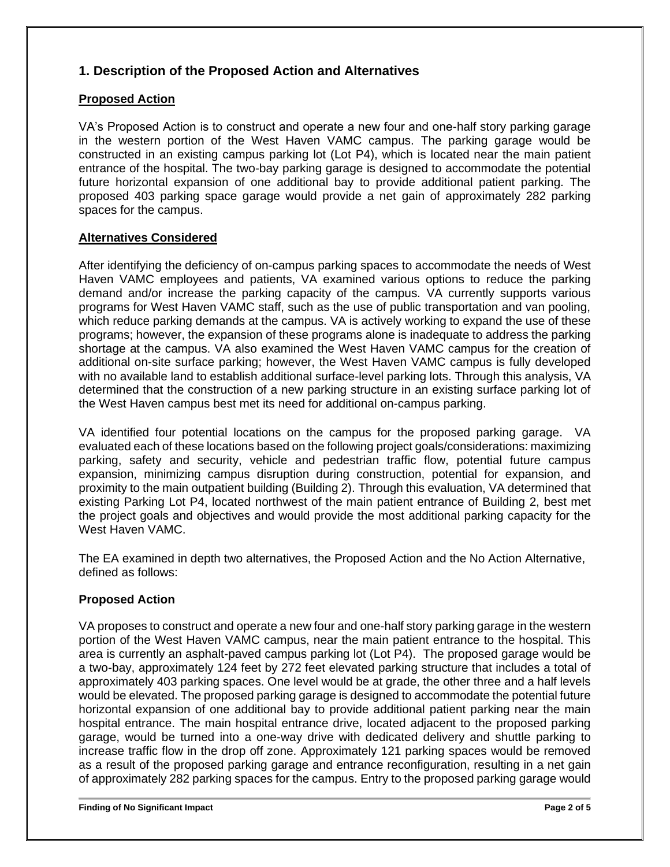# **1. Description of the Proposed Action and Alternatives**

## **Proposed Action**

VA's Proposed Action is to construct and operate a new four and one-half story parking garage in the western portion of the West Haven VAMC campus. The parking garage would be constructed in an existing campus parking lot (Lot P4), which is located near the main patient entrance of the hospital. The two-bay parking garage is designed to accommodate the potential future horizontal expansion of one additional bay to provide additional patient parking. The proposed 403 parking space garage would provide a net gain of approximately 282 parking spaces for the campus.

## **Alternatives Considered**

After identifying the deficiency of on-campus parking spaces to accommodate the needs of West Haven VAMC employees and patients, VA examined various options to reduce the parking demand and/or increase the parking capacity of the campus. VA currently supports various programs for West Haven VAMC staff, such as the use of public transportation and van pooling, which reduce parking demands at the campus. VA is actively working to expand the use of these programs; however, the expansion of these programs alone is inadequate to address the parking shortage at the campus. VA also examined the West Haven VAMC campus for the creation of additional on-site surface parking; however, the West Haven VAMC campus is fully developed with no available land to establish additional surface-level parking lots. Through this analysis, VA determined that the construction of a new parking structure in an existing surface parking lot of the West Haven campus best met its need for additional on-campus parking.

VA identified four potential locations on the campus for the proposed parking garage. VA evaluated each of these locations based on the following project goals/considerations: maximizing parking, safety and security, vehicle and pedestrian traffic flow, potential future campus expansion, minimizing campus disruption during construction, potential for expansion, and proximity to the main outpatient building (Building 2). Through this evaluation, VA determined that existing Parking Lot P4, located northwest of the main patient entrance of Building 2, best met the project goals and objectives and would provide the most additional parking capacity for the West Haven VAMC.

The EA examined in depth two alternatives, the Proposed Action and the No Action Alternative, defined as follows:

## **Proposed Action**

VA proposes to construct and operate a new four and one-half story parking garage in the western portion of the West Haven VAMC campus, near the main patient entrance to the hospital. This area is currently an asphalt-paved campus parking lot (Lot P4). The proposed garage would be a two-bay, approximately 124 feet by 272 feet elevated parking structure that includes a total of approximately 403 parking spaces. One level would be at grade, the other three and a half levels would be elevated. The proposed parking garage is designed to accommodate the potential future horizontal expansion of one additional bay to provide additional patient parking near the main hospital entrance. The main hospital entrance drive, located adjacent to the proposed parking garage, would be turned into a one-way drive with dedicated delivery and shuttle parking to increase traffic flow in the drop off zone. Approximately 121 parking spaces would be removed as a result of the proposed parking garage and entrance reconfiguration, resulting in a net gain of approximately 282 parking spaces for the campus. Entry to the proposed parking garage would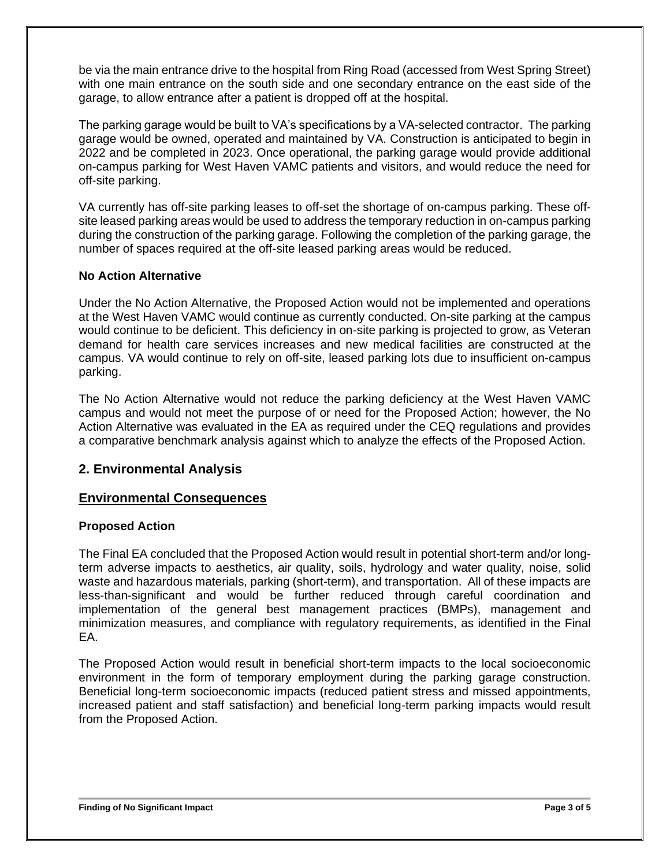be via the main entrance drive to the hospital from Ring Road (accessed from West Spring Street) with one main entrance on the south side and one secondary entrance on the east side of the garage, to allow entrance after a patient is dropped off at the hospital.

The parking garage would be built to VA's specifications by a VA-selected contractor. The parking garage would be owned, operated and maintained by VA. Construction is anticipated to begin in 2022 and be completed in 2023. Once operational, the parking garage would provide additional on-campus parking for West Haven VAMC patients and visitors, and would reduce the need for off-site parking.

VA currently has off-site parking leases to off-set the shortage of on-campus parking. These offsite leased parking areas would be used to address the temporary reduction in on-campus parking during the construction of the parking garage. Following the completion of the parking garage, the number of spaces required at the off-site leased parking areas would be reduced.

### **No Action Alternative**

Under the No Action Alternative, the Proposed Action would not be implemented and operations at the West Haven VAMC would continue as currently conducted. On-site parking at the campus would continue to be deficient. This deficiency in on-site parking is projected to grow, as Veteran demand for health care services increases and new medical facilities are constructed at the campus. VA would continue to rely on off-site, leased parking lots due to insufficient on-campus parking.

The No Action Alternative would not reduce the parking deficiency at the West Haven VAMC campus and would not meet the purpose of or need for the Proposed Action; however, the No Action Alternative was evaluated in the EA as required under the CEQ regulations and provides a comparative benchmark analysis against which to analyze the effects of the Proposed Action.

### **2. Environmental Analysis**

### **Environmental Consequences**

### **Proposed Action**

The Final EA concluded that the Proposed Action would result in potential short-term and/or longterm adverse impacts to aesthetics, air quality, soils, hydrology and water quality, noise, solid waste and hazardous materials, parking (short-term), and transportation. All of these impacts are less-than-significant and would be further reduced through careful coordination and implementation of the general best management practices (BMPs), management and minimization measures, and compliance with regulatory requirements, as identified in the Final EA.

The Proposed Action would result in beneficial short-term impacts to the local socioeconomic environment in the form of temporary employment during the parking garage construction. Beneficial long-term socioeconomic impacts (reduced patient stress and missed appointments, increased patient and staff satisfaction) and beneficial long-term parking impacts would result from the Proposed Action.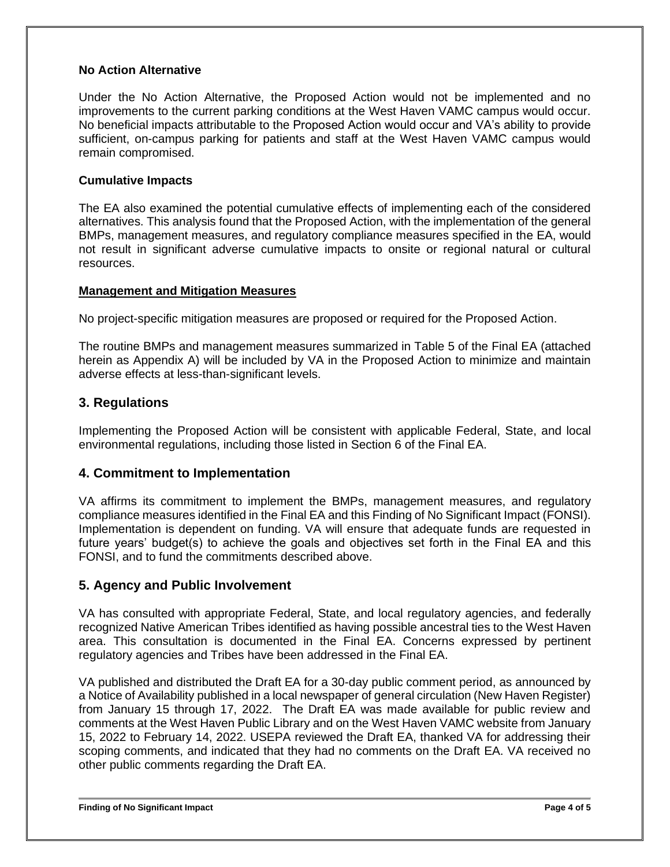#### **No Action Alternative**

Under the No Action Alternative, the Proposed Action would not be implemented and no improvements to the current parking conditions at the West Haven VAMC campus would occur. No beneficial impacts attributable to the Proposed Action would occur and VA's ability to provide sufficient, on-campus parking for patients and staff at the West Haven VAMC campus would remain compromised.

#### **Cumulative Impacts**

The EA also examined the potential cumulative effects of implementing each of the considered alternatives. This analysis found that the Proposed Action, with the implementation of the general BMPs, management measures, and regulatory compliance measures specified in the EA, would not result in significant adverse cumulative impacts to onsite or regional natural or cultural resources.

#### **Management and Mitigation Measures**

No project-specific mitigation measures are proposed or required for the Proposed Action.

The routine BMPs and management measures summarized in Table 5 of the Final EA (attached herein as Appendix A) will be included by VA in the Proposed Action to minimize and maintain adverse effects at less-than-significant levels.

### **3. Regulations**

Implementing the Proposed Action will be consistent with applicable Federal, State, and local environmental regulations, including those listed in Section 6 of the Final EA.

### **4. Commitment to Implementation**

VA affirms its commitment to implement the BMPs, management measures, and regulatory compliance measures identified in the Final EA and this Finding of No Significant Impact (FONSI). Implementation is dependent on funding. VA will ensure that adequate funds are requested in future years' budget(s) to achieve the goals and objectives set forth in the Final EA and this FONSI, and to fund the commitments described above.

### **5. Agency and Public Involvement**

VA has consulted with appropriate Federal, State, and local regulatory agencies, and federally recognized Native American Tribes identified as having possible ancestral ties to the West Haven area. This consultation is documented in the Final EA. Concerns expressed by pertinent regulatory agencies and Tribes have been addressed in the Final EA.

VA published and distributed the Draft EA for a 30-day public comment period, as announced by a Notice of Availability published in a local newspaper of general circulation (New Haven Register) from January 15 through 17, 2022. The Draft EA was made available for public review and comments at the West Haven Public Library and on the West Haven VAMC website from January 15, 2022 to February 14, 2022. USEPA reviewed the Draft EA, thanked VA for addressing their scoping comments, and indicated that they had no comments on the Draft EA. VA received no other public comments regarding the Draft EA.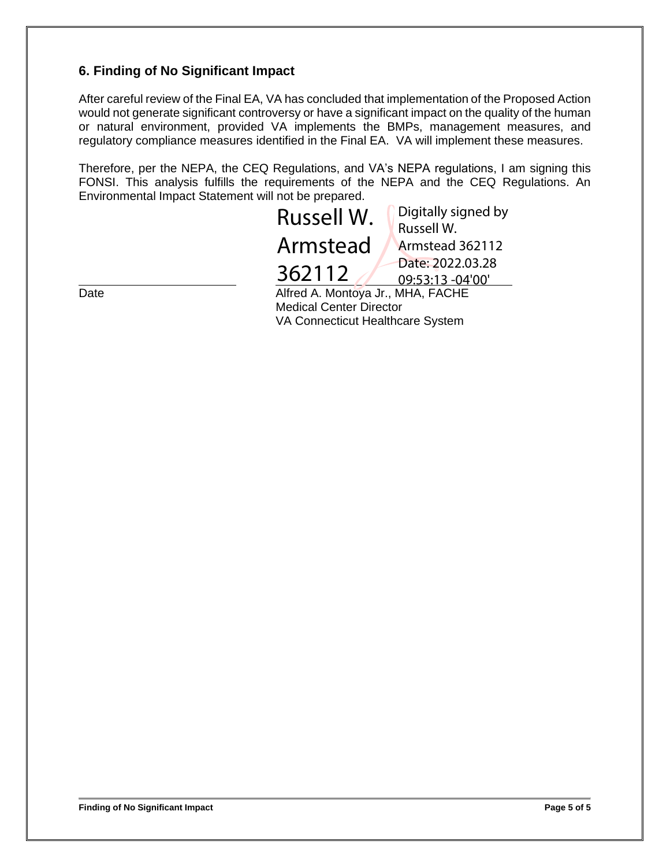# **6. Finding of No Significant Impact**

After careful review of the Final EA, VA has concluded that implementation of the Proposed Action would not generate significant controversy or have a significant impact on the quality of the human or natural environment, provided VA implements the BMPs, management measures, and regulatory compliance measures identified in the Final EA. VA will implement these measures.

Therefore, per the NEPA, the CEQ Regulations, and VA's NEPA regulations, I am signing this FONSI. This analysis fulfills the requirements of the NEPA and the CEQ Regulations. An Environmental Impact Statement will not be prepared.

|      | Russell W.                        | Digitally signed by |
|------|-----------------------------------|---------------------|
|      |                                   | Russell W.          |
|      | Armstead                          | Armstead 362112     |
|      |                                   | Date: 2022.03.28    |
|      | 362112                            | 09:53:13 -04'00'    |
| Date | Alfred A. Montoya Jr., MHA, FACHE |                     |
|      |                                   |                     |

Medical Center Director VA Connecticut Healthcare System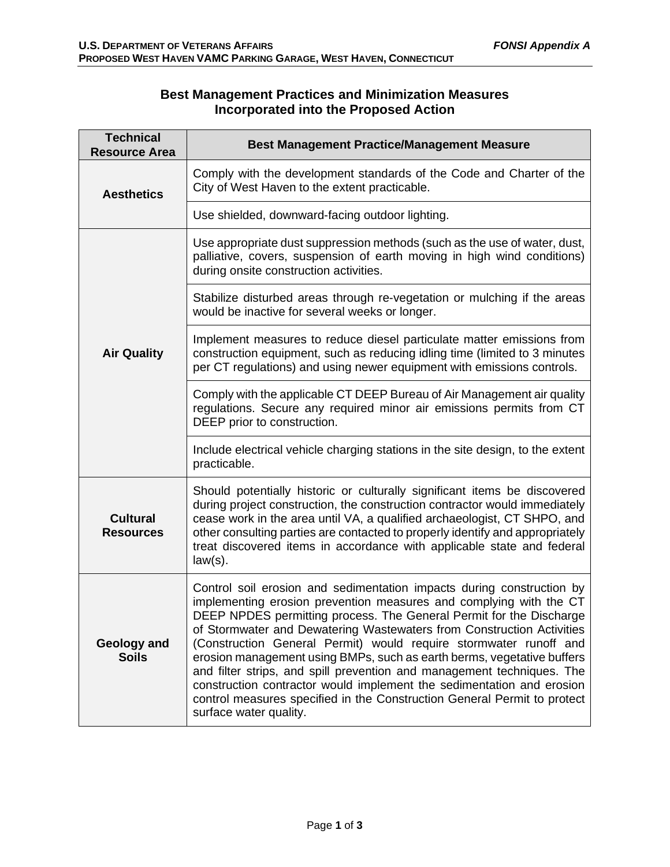# **Best Management Practices and Minimization Measures Incorporated into the Proposed Action**

| <b>Technical</b><br><b>Resource Area</b> | <b>Best Management Practice/Management Measure</b>                                                                                                                                                                                                                                                                                                                                                                                                                                                                                                                                                                                                                                                  |  |
|------------------------------------------|-----------------------------------------------------------------------------------------------------------------------------------------------------------------------------------------------------------------------------------------------------------------------------------------------------------------------------------------------------------------------------------------------------------------------------------------------------------------------------------------------------------------------------------------------------------------------------------------------------------------------------------------------------------------------------------------------------|--|
| <b>Aesthetics</b>                        | Comply with the development standards of the Code and Charter of the<br>City of West Haven to the extent practicable.                                                                                                                                                                                                                                                                                                                                                                                                                                                                                                                                                                               |  |
|                                          | Use shielded, downward-facing outdoor lighting.                                                                                                                                                                                                                                                                                                                                                                                                                                                                                                                                                                                                                                                     |  |
| <b>Air Quality</b>                       | Use appropriate dust suppression methods (such as the use of water, dust,<br>palliative, covers, suspension of earth moving in high wind conditions)<br>during onsite construction activities.                                                                                                                                                                                                                                                                                                                                                                                                                                                                                                      |  |
|                                          | Stabilize disturbed areas through re-vegetation or mulching if the areas<br>would be inactive for several weeks or longer.                                                                                                                                                                                                                                                                                                                                                                                                                                                                                                                                                                          |  |
|                                          | Implement measures to reduce diesel particulate matter emissions from<br>construction equipment, such as reducing idling time (limited to 3 minutes<br>per CT regulations) and using newer equipment with emissions controls.                                                                                                                                                                                                                                                                                                                                                                                                                                                                       |  |
|                                          | Comply with the applicable CT DEEP Bureau of Air Management air quality<br>regulations. Secure any required minor air emissions permits from CT<br>DEEP prior to construction.                                                                                                                                                                                                                                                                                                                                                                                                                                                                                                                      |  |
|                                          | Include electrical vehicle charging stations in the site design, to the extent<br>practicable.                                                                                                                                                                                                                                                                                                                                                                                                                                                                                                                                                                                                      |  |
| <b>Cultural</b><br><b>Resources</b>      | Should potentially historic or culturally significant items be discovered<br>during project construction, the construction contractor would immediately<br>cease work in the area until VA, a qualified archaeologist, CT SHPO, and<br>other consulting parties are contacted to properly identify and appropriately<br>treat discovered items in accordance with applicable state and federal<br>$law(s)$ .                                                                                                                                                                                                                                                                                        |  |
| Geology and<br><b>Soils</b>              | Control soil erosion and sedimentation impacts during construction by<br>implementing erosion prevention measures and complying with the CT<br>DEEP NPDES permitting process. The General Permit for the Discharge<br>of Stormwater and Dewatering Wastewaters from Construction Activities<br>(Construction General Permit) would require stormwater runoff and<br>erosion management using BMPs, such as earth berms, vegetative buffers<br>and filter strips, and spill prevention and management techniques. The<br>construction contractor would implement the sedimentation and erosion<br>control measures specified in the Construction General Permit to protect<br>surface water quality. |  |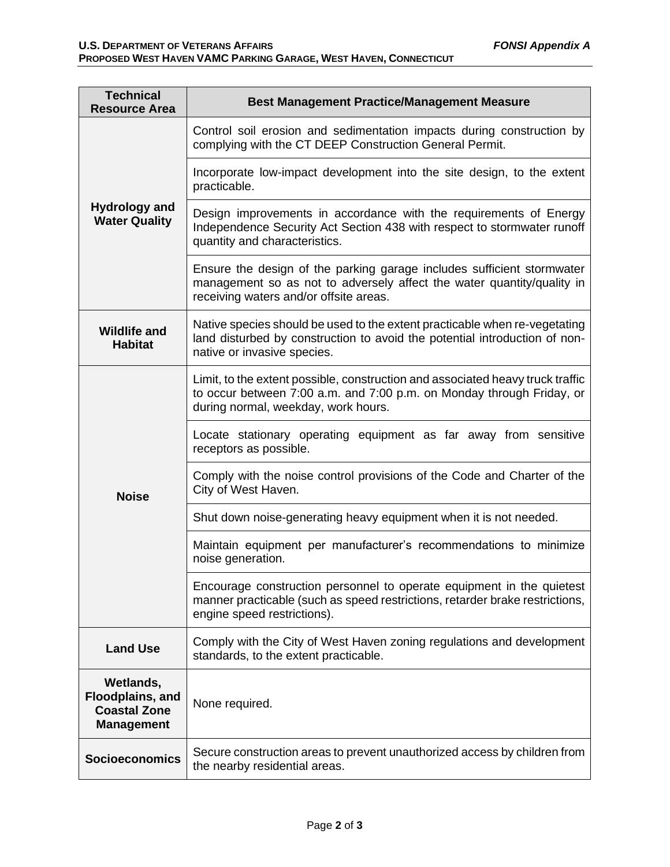| <b>Technical</b><br><b>Resource Area</b>                                  | <b>Best Management Practice/Management Measure</b>                                                                                                                                             |  |
|---------------------------------------------------------------------------|------------------------------------------------------------------------------------------------------------------------------------------------------------------------------------------------|--|
| <b>Hydrology and</b><br><b>Water Quality</b>                              | Control soil erosion and sedimentation impacts during construction by<br>complying with the CT DEEP Construction General Permit.                                                               |  |
|                                                                           | Incorporate low-impact development into the site design, to the extent<br>practicable.                                                                                                         |  |
|                                                                           | Design improvements in accordance with the requirements of Energy<br>Independence Security Act Section 438 with respect to stormwater runoff<br>quantity and characteristics.                  |  |
|                                                                           | Ensure the design of the parking garage includes sufficient stormwater<br>management so as not to adversely affect the water quantity/quality in<br>receiving waters and/or offsite areas.     |  |
| <b>Wildlife and</b><br><b>Habitat</b>                                     | Native species should be used to the extent practicable when re-vegetating<br>land disturbed by construction to avoid the potential introduction of non-<br>native or invasive species.        |  |
| <b>Noise</b>                                                              | Limit, to the extent possible, construction and associated heavy truck traffic<br>to occur between 7:00 a.m. and 7:00 p.m. on Monday through Friday, or<br>during normal, weekday, work hours. |  |
|                                                                           | Locate stationary operating equipment as far away from sensitive<br>receptors as possible.                                                                                                     |  |
|                                                                           | Comply with the noise control provisions of the Code and Charter of the<br>City of West Haven.                                                                                                 |  |
|                                                                           | Shut down noise-generating heavy equipment when it is not needed.                                                                                                                              |  |
|                                                                           | Maintain equipment per manufacturer's recommendations to minimize<br>noise generation.                                                                                                         |  |
|                                                                           | Encourage construction personnel to operate equipment in the quietest<br>manner practicable (such as speed restrictions, retarder brake restrictions,<br>engine speed restrictions).           |  |
| <b>Land Use</b>                                                           | Comply with the City of West Haven zoning regulations and development<br>standards, to the extent practicable.                                                                                 |  |
| Wetlands,<br>Floodplains, and<br><b>Coastal Zone</b><br><b>Management</b> | None required.                                                                                                                                                                                 |  |
| <b>Socioeconomics</b>                                                     | Secure construction areas to prevent unauthorized access by children from<br>the nearby residential areas.                                                                                     |  |